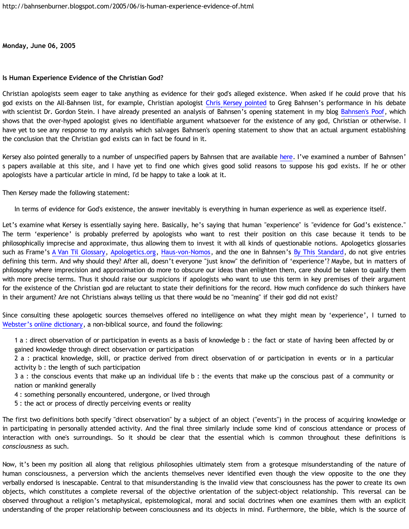**Monday, June 06, 2005**

## **Is Human Experience Evidence of the Christian God?**

Christian apologists seem eager to take anything as evidence for their god's alleged existence. When asked if he could prove that his god exists on the All-Bahnsen list, for example, Christian apologist [Chris Kersey pointed](http://groups.yahoo.com/group/all-bahnsen/message/1429) to Greg Bahnsen's performance in his debate with scientist Dr. Gordon Stein. I have already presented an analysis of Bahnsen's opening statement in my blog [Bahnsen's Poof](http://bahnsenburner.blogspot.com/2005/03/bahnsens-poof.html), which shows that the over-hyped apologist gives no identifiable argument whatsoever for the existence of any god, Christian or otherwise. I have yet to see any response to my analysis which salvages Bahnsen's opening statement to show that an actual argument establishing the conclusion that the Christian god exists can in fact be found in it.

Kersey also pointed generally to a number of unspecified papers by Bahnsen that are available [here.](http://www.cmfnow.com) I've examined a number of Bahnsen' s papers available at this site, and I have yet to find one which gives good solid reasons to suppose his god exists. If he or other apologists have a particular article in mind, I'd be happy to take a look at it.

Then Kersey made the following statement:

In terms of evidence for God's existence, the answer inevitably is everything in human experience as well as experience itself.

Let's examine what Kersey is essentially saying here. Basically, he's saying that human "experience" is "evidence for God's existence." The term 'experience' is probably preferred by apologists who want to rest their position on this case because it tends to be philosophically imprecise and approximate, thus allowing them to invest it with all kinds of questionable notions. Apologetics glossaries such as Frame's [A Van Til Glossary](http://www.thirdmill.org/files/english/practical_theology/33822~8_30_00_6-57-45_PM~PT.Frame.VanTil.Glossary.pdf), [Apologetics.org](http://www.apologetics.org/glossary.html), [Haus-von-Nomos,](http://www.haus-von-nomos.com/glossphilo.html) and the one in Bahnsen's [By This Standard](http://www.freebooks.com/docs/2c6a_47e.htm), do not give entries defining this term. And why should they? After all, doesn't everyone "just know" the definition of 'experience'? Maybe, but in matters of philosophy where imprecision and approximation do more to obscure our ideas than enlighten them, care should be taken to qualify them with more precise terms. Thus it should raise our suspicions if apologists who want to use this term in key premises of their argument for the existence of the Christian god are reluctant to state their definitions for the record. How much confidence do such thinkers have in their argument? Are not Christians always telling us that there would be no "meaning" if their god did not exist?

Since consulting these apologetic sources themselves offered no intelligence on what they might mean by 'experience', I turned to [Webster's online dictionary](http://www.m-w.com/cgi-bin/dictionary?book=Dictionary&va=experience), a non-biblical source, and found the following:

1 a : direct observation of or participation in events as a basis of knowledge b : the fact or state of having been affected by or gained knowledge through direct observation or participation

2 a : practical knowledge, skill, or practice derived from direct observation of or participation in events or in a particular activity b : the length of such participation

3 a : the conscious events that make up an individual life b : the events that make up the conscious past of a community or nation or mankind generally

4 : something personally encountered, undergone, or lived through

5 : the act or process of directly perceiving events or reality

The first two definitions both specify "direct observation" by a subject of an object ("events") in the process of acquiring knowledge or in participating in personally attended activity. And the final three similarly include some kind of conscious attendance or process of interaction with one's surroundings. So it should be clear that the essential which is common throughout these definitions is *consciousness* as such.

Now, it's been my position all along that religious philosophies ultimately stem from a grotesque misunderstanding of the nature of human consciousness, a perversion which the ancients themselves never identified even though the view opposite to the one they verbally endorsed is inescapable. Central to that misunderstanding is the invalid view that consciousness has the power to create its own objects, which constitutes a complete reversal of the objective orientation of the subject-object relationship. This reversal can be observed throughout a religion's metaphysical, epistemological, moral and social doctrines when one examines them with an explicit understanding of the proper relationship between consciousness and its objects in mind. Furthermore, the bible, which is the source of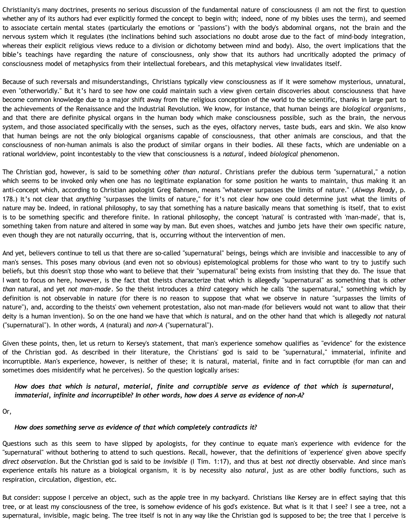Christianity's many doctrines, presents no serious discussion of the fundamental nature of consciousness (I am not the first to question whether any of its authors had ever explicitly formed the concept to begin with; indeed, none of my bibles uses the term), and seemed to associate certain mental states (particularly the emotions or "passions") with the body's abdominal organs, not the brain and the nervous system which it regulates (the inclinations behind such associations no doubt arose due to the fact of mind-body integration, whereas their explicit religious views reduce to a division or dichotomy between mind and body). Also, the overt implications that the bible's teachings have regarding the nature of consciousness, only show that its authors had uncritically adopted the primacy of consciousness model of metaphysics from their intellectual forebears, and this metaphysical view invalidates itself.

Because of such reversals and misunderstandings, Christians typically view consciousness as if it were somehow mysterious, unnatural, even "otherworldly." But it's hard to see how one could maintain such a view given certain discoveries about consciousness that have become common knowledge due to a major shift away from the religious conception of the world to the scientific, thanks in large part to the achievements of the Renaissance and the Industrial Revolution. We know, for instance, that human beings are *biological organisms*, and that there are definite physical organs in the human body which make consciousness possible, such as the brain, the nervous system, and those associated specifically with the senses, such as the eyes, olfactory nerves, taste buds, ears and skin. We also know that human beings are not the only biological organisms capable of consciousness, that other animals are conscious, and that the consciousness of non-human animals is also the product of similar organs in their bodies. All these facts, which are undeniable on a rational worldview, point incontestably to the view that consciousness is a *natural*, indeed *biological* phenomenon.

The Christian god, however, is said to be something *other than natural*. Christians prefer the dubious term "supernatural," a notion which seems to be invoked only when one has no legitimate explanation for some position he wants to maintain, thus making it an anti-concept which, according to Christian apologist Greg Bahnsen, means "whatever surpasses the limits of nature." (*Always Ready*, p. 178.) It's not clear that *anything* "surpasses the limits of nature," for it's not clear how one could determine just what the limits of nature may be. Indeed, in rational philosophy, to say that something has a nature basically means that something is itself, that to exist is to be something specific and therefore finite. In rational philosophy, the concept 'natural' is contrasted with 'man-made', that is, something taken from nature and altered in some way by man. But even shoes, watches and jumbo jets have their own specific nature, even though they are not naturally occurring, that is, occurring without the intervention of men.

And yet, believers continue to tell us that there are so-called "supernatural" beings, beings which are invisible and inaccessible to any of man's senses. This poses many obvious (and even not so obvious) epistemological problems for those who want to try to justify such beliefs, but this doesn't stop those who want to believe that their "supernatural" being exists from insisting that they do. The issue that I want to focus on here, however, is the fact that theists characterize that which is allegedly "supernatural" as something that is *other than* natural, and yet *not man-made*. So the theist introduces a *third* category which he calls "the supernatural," something which by definition is not observable in nature (for there is no reason to suppose that what we observe in nature "surpasses the limits of nature"), and, according to the theists' own vehement protestation, also not man-made (for believers would not want to allow that their deity is a human invention). So on the one hand we have that which *is* natural, and on the other hand that which is allegedly *not* natural ("supernatural"). In other words, *A* (natural) and *non-A* ("supernatural").

Given these points, then, let us return to Kersey's statement, that man's experience somehow qualifies as "evidence" for the existence of the Christian god. As described in their literature, the Christians' god is said to be "supernatural," immaterial, infinite and incorruptible. Man's experience, however, is neither of these; it is natural, material, finite and in fact corruptible (for man can and sometimes does misidentify what he perceives). So the question logically arises:

## *How does that which is natural, material, finite and corruptible serve as evidence of that which is supernatural, immaterial, infinite and incorruptible? In other words, how does A serve as evidence of non-A?*

Or,

## *How does something serve as evidence of that which completely contradicts it?*

Questions such as this seem to have slipped by apologists, for they continue to equate man's experience with evidence for the "supernatural" without bothering to attend to such questions. Recall, however, that the definitions of 'experience' given above specify *direct observation*. But the Christian god is said to be *invisible* (I Tim. 1:17), and thus at best *not* directly observable. And since man's experience entails his nature as a biological organism, it is by necessity also *natural*, just as are other bodily functions, such as respiration, circulation, digestion, etc.

But consider: suppose I perceive an object, such as the apple tree in my backyard. Christians like Kersey are in effect saying that this tree, or at least my consciousness of the tree, is somehow evidence of his god's existence. But what is it that I see? I see a tree, not a supernatural, invisible, magic being. The tree itself is not in any way like the Christian god is supposed to be; the tree that I perceive is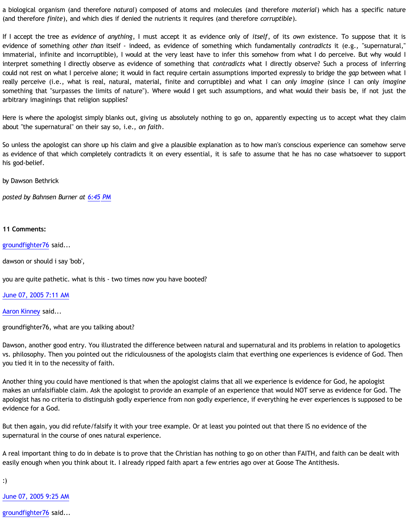a biological organism (and therefore *natural*) composed of atoms and molecules (and therefore *material*) which has a specific nature (and therefore *finite*), and which dies if denied the nutrients it requires (and therefore *corruptible*).

If I accept the tree as *evidence* of *anything*, I must accept it as evidence only of *itself*, of its *own* existence. To suppose that it is evidence of something *other than* itself - indeed, as evidence of something which fundamentally *contradicts* it (e.g., "supernatural," immaterial, infinite and incorruptible), I would at the very least have to infer this somehow from what I do perceive. But why would I interpret something I directly observe as evidence of something that *contradicts* what I directly observe? Such a process of inferring could not rest on what I perceive alone; it would in fact require certain assumptions imported expressly to bridge the *gap* between what I really perceive (i.e., what is real, natural, material, finite and corruptible) and what I can *only imagine* (since I can only *imagine* something that "surpasses the limits of nature"). Where would I get such assumptions, and what would their basis be, if not just the arbitrary imaginings that religion supplies?

Here is where the apologist simply blanks out, giving us absolutely nothing to go on, apparently expecting us to accept what they claim about "the supernatural" on their say so, i.e., *on faith*.

So unless the apologist can shore up his claim and give a plausible explanation as to how man's conscious experience can somehow serve as evidence of that which completely contradicts it on every essential, it is safe to assume that he has no case whatsoever to support his god-belief.

by Dawson Bethrick

*posted by Bahnsen Burner at [6:45 PM](http://bahnsenburner.blogspot.com/2005/06/is-human-experience-evidence-of.html)*

## **11 Comments:**

[groundfighter76](http://www.blogger.com/profile/8210797) said...

dawson or should i say 'bob',

you are quite pathetic. what is this - two times now you have booted?

[June 07, 2005 7:11 AM](http://bahnsenburner.blogspot.com/2005/06/111815351852897969)

[Aaron Kinney](http://www.blogger.com/profile/8138664) said...

groundfighter76, what are you talking about?

Dawson, another good entry. You illustrated the difference between natural and supernatural and its problems in relation to apologetics vs. philosophy. Then you pointed out the ridiculousness of the apologists claim that everthing one experiences is evidence of God. Then you tied it in to the necessity of faith.

Another thing you could have mentioned is that when the apologist claims that all we experience is evidence for God, he apologist makes an unfalsifiable claim. Ask the apologist to provide an example of an experience that would NOT serve as evidence for God. The apologist has no criteria to distinguish godly experience from non godly experience, if everything he ever experiences is supposed to be evidence for a God.

But then again, you did refute/falsify it with your tree example. Or at least you pointed out that there IS no evidence of the supernatural in the course of ones natural experience.

A real important thing to do in debate is to prove that the Christian has nothing to go on other than FAITH, and faith can be dealt with easily enough when you think about it. I already ripped faith apart a few entries ago over at Goose The Antithesis.

:)

[June 07, 2005 9:25 AM](http://bahnsenburner.blogspot.com/2005/06/111816152289903470)

[groundfighter76](http://www.blogger.com/profile/8210797) said...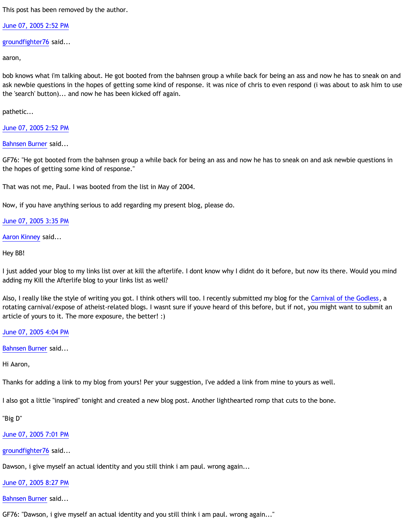This post has been removed by the author.

[June 07, 2005 2:52 PM](http://bahnsenburner.blogspot.com/2005/06/111818114166264559)

[groundfighter76](http://www.blogger.com/profile/8210797) said...

aaron,

bob knows what i'm talking about. He got booted from the bahnsen group a while back for being an ass and now he has to sneak on and ask newbie questions in the hopes of getting some kind of response. it was nice of chris to even respond (i was about to ask him to use the 'search' button)... and now he has been kicked off again.

pathetic...

[June 07, 2005 2:52 PM](http://bahnsenburner.blogspot.com/2005/06/111818114194782223)

[Bahnsen Burner](http://www.blogger.com/profile/7766918) said...

GF76: "He got booted from the bahnsen group a while back for being an ass and now he has to sneak on and ask newbie questions in the hopes of getting some kind of response."

That was not me, Paul. I was booted from the list in May of 2004.

Now, if you have anything serious to add regarding my present blog, please do.

[June 07, 2005 3:35 PM](http://bahnsenburner.blogspot.com/2005/06/111818370211870191)

[Aaron Kinney](http://www.blogger.com/profile/8138664) said...

Hey BB!

I just added your blog to my links list over at kill the afterlife. I dont know why I didnt do it before, but now its there. Would you mind adding my Kill the Afterlife blog to your links list as well?

Also, I really like the style of writing you got. I think others will too. I recently submitted my blog for the [Carnival of the Godless,](http://www.brentrasmussen.com/archives/2005/01/carnival_of_the.html) a rotating carnival/expose of atheist-related blogs. I wasnt sure if youve heard of this before, but if not, you might want to submit an article of yours to it. The more exposure, the better! :)

[June 07, 2005 4:04 PM](http://bahnsenburner.blogspot.com/2005/06/111818548274184349)

[Bahnsen Burner](http://www.blogger.com/profile/7766918) said...

Hi Aaron,

Thanks for adding a link to my blog from yours! Per your suggestion, I've added a link from mine to yours as well.

I also got a little "inspired" tonight and created a new blog post. Another lighthearted romp that cuts to the bone.

"Big D"

[June 07, 2005 7:01 PM](http://bahnsenburner.blogspot.com/2005/06/111819607510746712)

[groundfighter76](http://www.blogger.com/profile/8210797) said...

Dawson, i give myself an actual identity and you still think i am paul. wrong again...

[June 07, 2005 8:27 PM](http://bahnsenburner.blogspot.com/2005/06/111820126909846585)

[Bahnsen Burner](http://www.blogger.com/profile/7766918) said...

GF76: "Dawson, i give myself an actual identity and you still think i am paul. wrong again..."